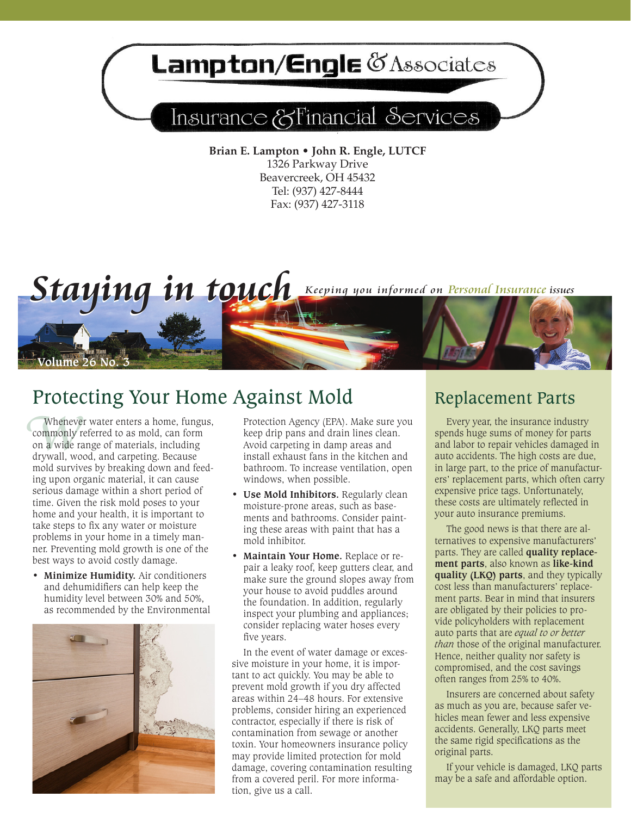# Lampton/Engle & Associates

## Insurance & Financial Services

**Brian E. Lampton • John R. Engle, LUTCF** 1326 Parkway Drive Beavercreek, OH 45432 Tel: (937) 427-8444 Fax: (937) 427-3118



## Protecting Your Home Against Mold Replacement Parts

**EXECUTE Whenever water enters a home, fungus,** Protection Agency (EPA). Make sure you commonly referred to as mold, can form keep drip pans and drain lines clean.<br>
on a wide range of materials, including Avoid carpeting i Whenever water enters a home, fungus, commonly referred to as mold, can form on a wide range of materials, including drywall, wood, and carpeting. Because mold survives by breaking down and feeding upon organic material, it can cause serious damage within a short period of time. Given the risk mold poses to your home and your health, it is important to take steps to fix any water or moisture problems in your home in a timely manner. Preventing mold growth is one of the best ways to avoid costly damage.

**• Minimize Humidity.** Air conditioners and dehumidifiers can help keep the humidity level between 30% and 50%, as recommended by the Environmental



keep drip pans and drain lines clean. Avoid carpeting in damp areas and install exhaust fans in the kitchen and bathroom. To increase ventilation, open windows, when possible.

- **• Use Mold Inhibitors.** Regularly clean moisture-prone areas, such as basements and bathrooms. Consider painting these areas with paint that has a mold inhibitor.
- **Maintain Your Home.** Replace or repair a leaky roof, keep gutters clear, and make sure the ground slopes away from your house to avoid puddles around the foundation. In addition, regularly inspect your plumbing and appliances; consider replacing water hoses every five years.

In the event of water damage or excessive moisture in your home, it is important to act quickly. You may be able to prevent mold growth if you dry affected areas within 24–48 hours. For extensive problems, consider hiring an experienced contractor, especially if there is risk of contamination from sewage or another toxin. Your homeowners insurance policy may provide limited protection for mold damage, covering contamination resulting from a covered peril. For more information, give us a call.

Every year, the insurance industry spends huge sums of money for parts and labor to repair vehicles damaged in auto accidents. The high costs are due, in large part, to the price of manufacturers' replacement parts, which often carry expensive price tags. Unfortunately, these costs are ultimately reflected in your auto insurance premiums.

The good news is that there are alternatives to expensive manufacturers' parts. They are called **quality replacement parts**, also known as **like-kind quality (LKQ) parts**, and they typically cost less than manufacturers' replacement parts. Bear in mind that insurers are obligated by their policies to provide policyholders with replacement auto parts that are *equal to or better than* those of the original manufacturer. Hence, neither quality nor safety is compromised, and the cost savings often ranges from 25% to 40%.

Insurers are concerned about safety as much as you are, because safer vehicles mean fewer and less expensive accidents. Generally, LKQ parts meet the same rigid specifications as the original parts.

If your vehicle is damaged, LKQ parts may be a safe and affordable option.